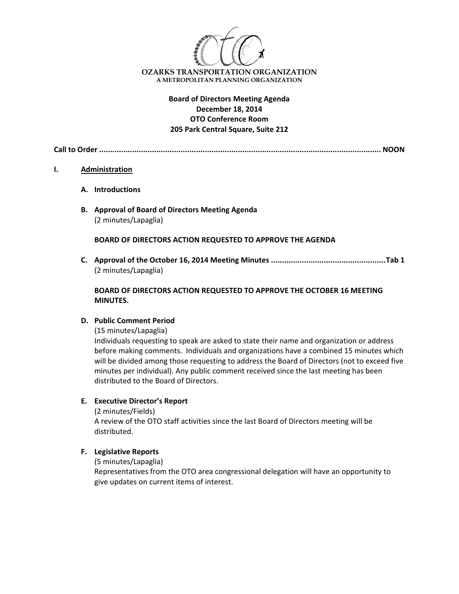

# **Board of Directors Meeting Agenda December 18, 2014 OTO Conference Room 205 Park Central Square, Suite 212**

**Call to Order ................................................................................................................................ NOON**

#### **I. Administration**

- **A. Introductions**
- **B. Approval of Board of Directors Meeting Agenda** (2 minutes/Lapaglia)

**BOARD OF DIRECTORS ACTION REQUESTED TO APPROVE THE AGENDA**

**C. Approval of the October 16, 2014 Meeting Minutes ....................................................Tab 1** (2 minutes/Lapaglia)

### **BOARD OF DIRECTORS ACTION REQUESTED TO APPROVE THE OCTOBER 16 MEETING MINUTES.**

### **D. Public Comment Period**

(15 minutes/Lapaglia)

Individuals requesting to speak are asked to state their name and organization or address before making comments. Individuals and organizations have a combined 15 minutes which will be divided among those requesting to address the Board of Directors (not to exceed five minutes per individual). Any public comment received since the last meeting has been distributed to the Board of Directors.

### **E. Executive Director's Report**

(2 minutes/Fields)

A review of the OTO staff activities since the last Board of Directors meeting will be distributed.

### **F. Legislative Reports**

(5 minutes/Lapaglia)

Representatives from the OTO area congressional delegation will have an opportunity to give updates on current items of interest.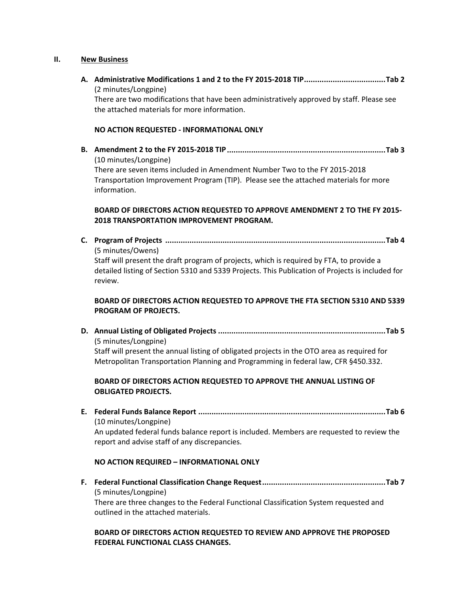#### **II. New Business**

**A. Administrative Modifications 1 and 2 to the FY 2015‐2018 TIP.....................................Tab 2** (2 minutes/Longpine) There are two modifications that have been administratively approved by staff. Please see the attached materials for more information.

### **NO ACTION REQUESTED ‐ INFORMATIONAL ONLY**

**B. Amendment 2 to the FY 2015‐2018 TIP........................................................................Tab 3** (10 minutes/Longpine) There are seven items included in Amendment Number Two to the FY 2015‐2018 Transportation Improvement Program (TIP). Please see the attached materials for more information.

# **BOARD OF DIRECTORS ACTION REQUESTED TO APPROVE AMENDMENT 2 TO THE FY 2015‐ 2018 TRANSPORTATION IMPROVEMENT PROGRAM.**

**C. Program of Projects ....................................................................................................Tab 4** (5 minutes/Owens) Staff will present the draft program of projects, which is required by FTA, to provide a detailed listing of Section 5310 and 5339 Projects. This Publication of Projects is included for review.

# **BOARD OF DIRECTORS ACTION REQUESTED TO APPROVE THE FTA SECTION 5310 AND 5339 PROGRAM OF PROJECTS.**

**D. Annual Listing of Obligated Projects ............................................................................Tab 5** (5 minutes/Longpine) Staff will present the annual listing of obligated projects in the OTO area as required for Metropolitan Transportation Planning and Programming in federal law, CFR §450.332.

# **BOARD OF DIRECTORS ACTION REQUESTED TO APPROVE THE ANNUAL LISTING OF OBLIGATED PROJECTS.**

**E. Federal Funds Balance Report .....................................................................................Tab 6** (10 minutes/Longpine) An updated federal funds balance report is included. Members are requested to review the report and advise staff of any discrepancies.

### **NO ACTION REQUIRED – INFORMATIONAL ONLY**

**F. Federal Functional Classification Change Request........................................................Tab 7** (5 minutes/Longpine)

There are three changes to the Federal Functional Classification System requested and outlined in the attached materials.

## **BOARD OF DIRECTORS ACTION REQUESTED TO REVIEW AND APPROVE THE PROPOSED FEDERAL FUNCTIONAL CLASS CHANGES.**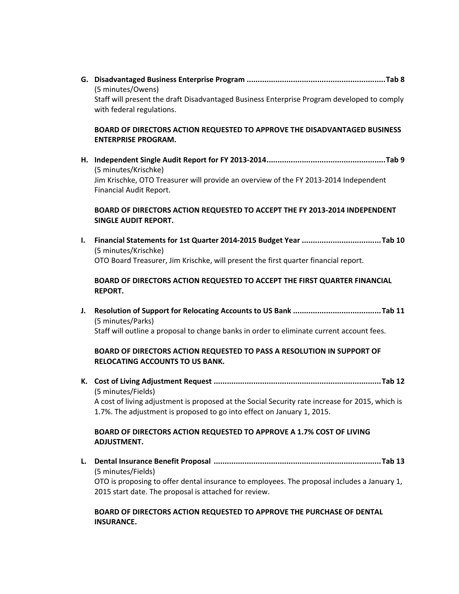**G. Disadvantaged Business Enterprise Program ...............................................................Tab 8** (5 minutes/Owens) Staff will present the draft Disadvantaged Business Enterprise Program developed to comply with federal regulations.

## **BOARD OF DIRECTORS ACTION REQUESTED TO APPROVE THE DISADVANTAGED BUSINESS ENTERPRISE PROGRAM.**

**H. Independent Single Audit Report for FY 2013‐2014......................................................Tab 9** (5 minutes/Krischke) Jim Krischke, OTO Treasurer will provide an overview of the FY 2013‐2014 Independent Financial Audit Report.

# **BOARD OF DIRECTORS ACTION REQUESTED TO ACCEPT THE FY 2013‐2014 INDEPENDENT SINGLE AUDIT REPORT.**

**I. Financial Statements for 1st Quarter 2014‐2015 Budget Year ....................................Tab 10** (5 minutes/Krischke) OTO Board Treasurer, Jim Krischke, will present the first quarter financial report.

# **BOARD OF DIRECTORS ACTION REQUESTED TO ACCEPT THE FIRST QUARTER FINANCIAL REPORT.**

**J. Resolution of Support for Relocating Accounts to US Bank ........................................Tab 11** (5 minutes/Parks) Staff will outline a proposal to change banks in order to eliminate current account fees.

# **BOARD OF DIRECTORS ACTION REQUESTED TO PASS A RESOLUTION IN SUPPORT OF RELOCATING ACCOUNTS TO US BANK.**

**K. Cost of Living Adjustment Request ............................................................................Tab 12** (5 minutes/Fields)

A cost of living adjustment is proposed at the Social Security rate increase for 2015, which is 1.7%. The adjustment is proposed to go into effect on January 1, 2015.

# **BOARD OF DIRECTORS ACTION REQUESTED TO APPROVE A 1.7% COST OF LIVING ADJUSTMENT.**

**L. Dental Insurance Benefit Proposal ............................................................................Tab 13** (5 minutes/Fields) OTO is proposing to offer dental insurance to employees. The proposal includes a January 1, 2015 start date. The proposal is attached for review.

### **BOARD OF DIRECTORS ACTION REQUESTED TO APPROVE THE PURCHASE OF DENTAL INSURANCE.**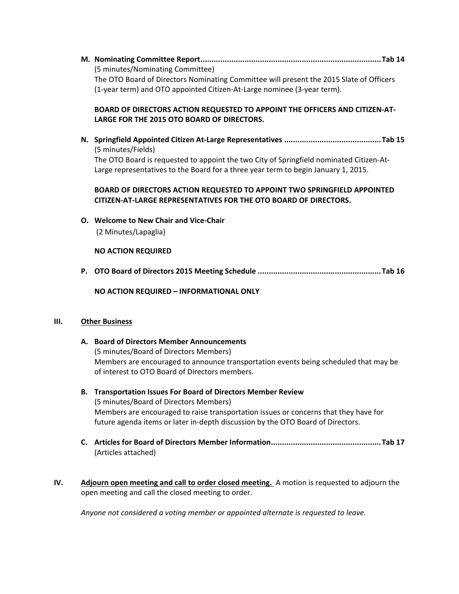**M. Nominating Committee Report..................................................................................Tab 14** (5 minutes/Nominating Committee) The OTO Board of Directors Nominating Committee will present the 2015 Slate of Officers (1‐year term) and OTO appointed Citizen‐At‐Large nominee (3‐year term).

# **BOARD OF DIRECTORS ACTION REQUESTED TO APPOINT THE OFFICERS AND CITIZEN‐AT‐ LARGE FOR THE 2015 OTO BOARD OF DIRECTORS.**

**N. Springfield Appointed Citizen At‐Large Representatives ............................................Tab 15** (5 minutes/Fields) The OTO Board is requested to appoint the two City of Springfield nominated Citizen‐At‐ Large representatives to the Board for a three year term to begin January 1, 2015.

## **BOARD OF DIRECTORS ACTION REQUESTED TO APPOINT TWO SPRINGFIELD APPOINTED CITIZEN‐AT‐LARGE REPRESENTATIVES FOR THE OTO BOARD OF DIRECTORS.**

**O. Welcome to New Chair and Vice‐Chair**

(2 Minutes/Lapaglia)

## **NO ACTION REQUIRED**

**P. OTO Board of Directors 2015 Meeting Schedule ........................................................Tab 16**

**NO ACTION REQUIRED – INFORMATIONAL ONLY**

### **III. Other Business**

- **A. Board of Directors Member Announcements** (5 minutes/Board of Directors Members) Members are encouraged to announce transportation events being scheduled that may be of interest to OTO Board of Directors members.
- **B. Transportation Issues For Board of Directors Member Review**  (5 minutes/Board of Directors Members) Members are encouraged to raise transportation issues or concerns that they have for future agenda items or later in-depth discussion by the OTO Board of Directors.
- **C. Articles for Board of Directors Member Information..................................................Tab 17** (Articles attached)
- **IV. Adjourn open meeting and call to order closed meeting.** A motion is requested to adjourn the open meeting and call the closed meeting to order.

*Anyone not considered a voting member or appointed alternate is requested to leave.*